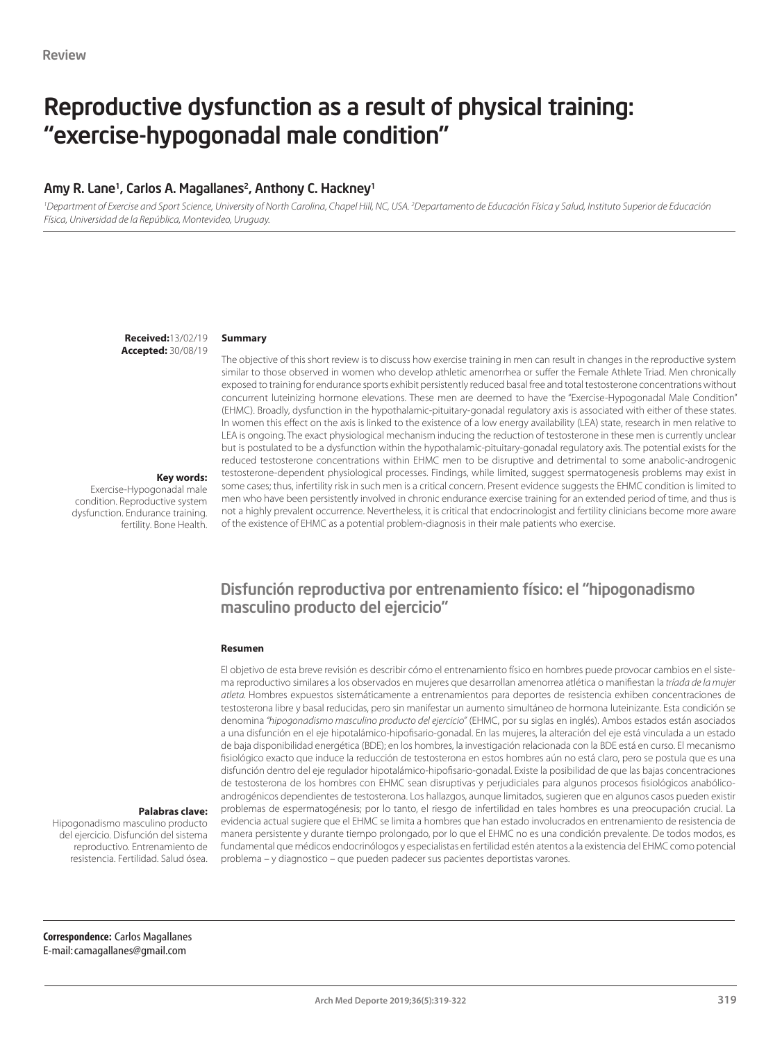# Reproductive dysfunction as a result of physical training: "exercise-hypogonadal male condition"

#### Amy R. Lane<sup>1</sup>, Carlos A. Magallanes<sup>2</sup>, Anthony C. Hackney<sup>1</sup>

'Department of Exercise and Sport Science, University of North Carolina, Chapel Hill, NC, USA. <sup>2</sup>Departamento de Educación Física y Salud, Instituto Superior de Educación *Física, Universidad de la República, Montevideo, Uruguay.*

> **Received:**13/02/19 **Accepted:** 30/08/19

#### **Summary**

The objective of this short review is to discuss how exercise training in men can result in changes in the reproductive system similar to those observed in women who develop athletic amenorrhea or suffer the Female Athlete Triad. Men chronically exposed to training for endurance sports exhibit persistently reduced basal free and total testosterone concentrations without concurrent luteinizing hormone elevations. These men are deemed to have the "Exercise-Hypogonadal Male Condition" (EHMC). Broadly, dysfunction in the hypothalamic-pituitary-gonadal regulatory axis is associated with either of these states. In women this effect on the axis is linked to the existence of a low energy availability (LEA) state, research in men relative to LEA is ongoing. The exact physiological mechanism inducing the reduction of testosterone in these men is currently unclear but is postulated to be a dysfunction within the hypothalamic-pituitary-gonadal regulatory axis. The potential exists for the reduced testosterone concentrations within EHMC men to be disruptive and detrimental to some anabolic-androgenic testosterone-dependent physiological processes. Findings, while limited, suggest spermatogenesis problems may exist in some cases; thus, infertility risk in such men is a critical concern. Present evidence suggests the EHMC condition is limited to men who have been persistently involved in chronic endurance exercise training for an extended period of time, and thus is not a highly prevalent occurrence. Nevertheless, it is critical that endocrinologist and fertility clinicians become more aware of the existence of EHMC as a potential problem-diagnosis in their male patients who exercise.

#### **Key words:**

Exercise-Hypogonadal male condition. Reproductive system dysfunction. Endurance training. fertility. Bone Health.

### Disfunción reproductiva por entrenamiento físico: el "hipogonadismo masculino producto del ejercicio"

#### **Resumen**

El objetivo de esta breve revisión es describir cómo el entrenamiento físico en hombres puede provocar cambios en el sistema reproductivo similares a los observados en mujeres que desarrollan amenorrea atlética o manifiestan la *tríada de la mujer atleta.* Hombres expuestos sistemáticamente a entrenamientos para deportes de resistencia exhiben concentraciones de testosterona libre y basal reducidas, pero sin manifestar un aumento simultáneo de hormona luteinizante. Esta condición se denomina *"hipogonadismo masculino producto del ejercicio"* (EHMC, por su siglas en inglés). Ambos estados están asociados a una disfunción en el eje hipotalámico-hipofisario-gonadal. En las mujeres, la alteración del eje está vinculada a un estado de baja disponibilidad energética (BDE); en los hombres, la investigación relacionada con la BDE está en curso. El mecanismo fisiológico exacto que induce la reducción de testosterona en estos hombres aún no está claro, pero se postula que es una disfunción dentro del eje regulador hipotalámico-hipofisario-gonadal. Existe la posibilidad de que las bajas concentraciones de testosterona de los hombres con EHMC sean disruptivas y perjudiciales para algunos procesos fisiológicos anabólicoandrogénicos dependientes de testosterona. Los hallazgos, aunque limitados, sugieren que en algunos casos pueden existir problemas de espermatogénesis; por lo tanto, el riesgo de infertilidad en tales hombres es una preocupación crucial. La evidencia actual sugiere que el EHMC se limita a hombres que han estado involucrados en entrenamiento de resistencia de manera persistente y durante tiempo prolongado, por lo que el EHMC no es una condición prevalente. De todos modos, es fundamental que médicos endocrinólogos y especialistas en fertilidad estén atentos a la existencia del EHMC como potencial problema – y diagnostico – que pueden padecer sus pacientes deportistas varones.

#### **Palabras clave:**

Hipogonadismo masculino producto del ejercicio. Disfunción del sistema reproductivo. Entrenamiento de resistencia. Fertilidad. Salud ósea.

**Correspondence:** Carlos Magallanes E-mail: camagallanes@gmail.com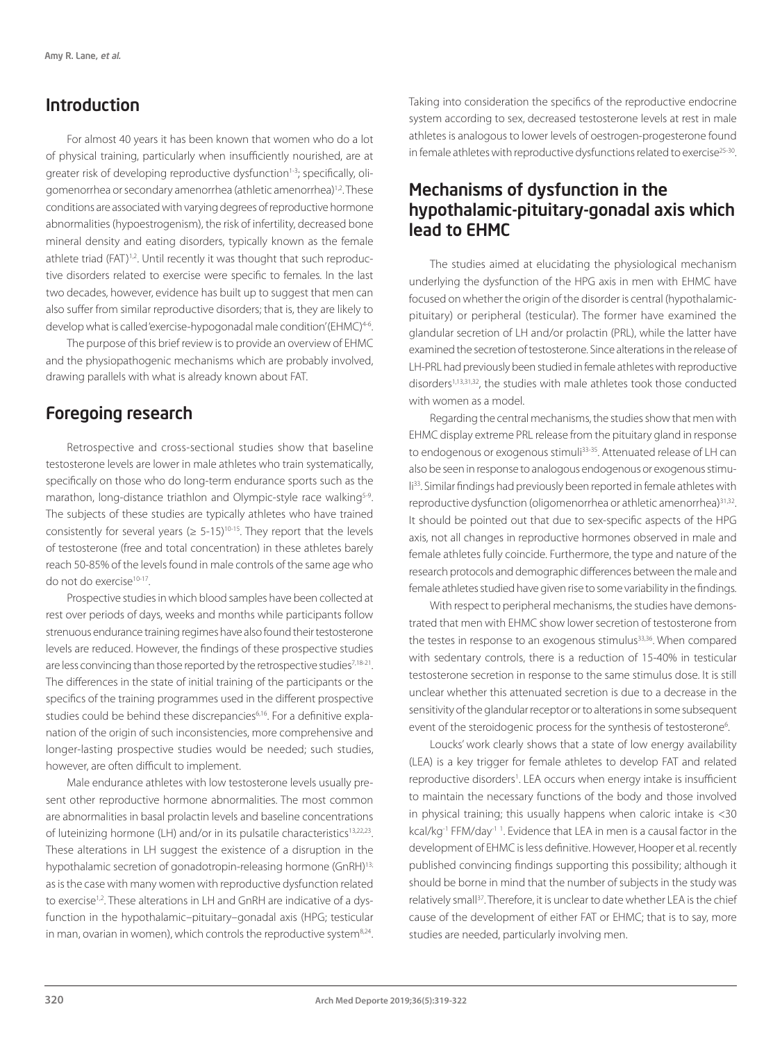# Introduction

For almost 40 years it has been known that women who do a lot of physical training, particularly when insufficiently nourished, are at greater risk of developing reproductive dysfunction<sup>1-3</sup>; specifically, oligomenorrhea or secondary amenorrhea (athletic amenorrhea)1,2. These conditions are associated with varying degrees of reproductive hormone abnormalities (hypoestrogenism), the risk of infertility, decreased bone mineral density and eating disorders, typically known as the female athlete triad (FAT)<sup>1,2</sup>. Until recently it was thought that such reproductive disorders related to exercise were specific to females. In the last two decades, however, evidence has built up to suggest that men can also suffer from similar reproductive disorders; that is, they are likely to develop what is called 'exercise-hypogonadal male condition' (EHMC)<sup>4-6</sup>.

The purpose of this brief review is to provide an overview of EHMC and the physiopathogenic mechanisms which are probably involved, drawing parallels with what is already known about FAT.

# Foregoing research

Retrospective and cross-sectional studies show that baseline testosterone levels are lower in male athletes who train systematically, specifically on those who do long-term endurance sports such as the marathon, long-distance triathlon and Olympic-style race walking<sup>5-9</sup>. The subjects of these studies are typically athletes who have trained consistently for several years ( $\geq 5$ -15)<sup>10-15</sup>. They report that the levels of testosterone (free and total concentration) in these athletes barely reach 50-85% of the levels found in male controls of the same age who do not do exercise<sup>10-17</sup>.

Prospective studies in which blood samples have been collected at rest over periods of days, weeks and months while participants follow strenuous endurance training regimes have also found their testosterone levels are reduced. However, the findings of these prospective studies are less convincing than those reported by the retrospective studies<sup>7,18-21</sup>. The differences in the state of initial training of the participants or the specifics of the training programmes used in the different prospective studies could be behind these discrepancies<sup>6,16</sup>. For a definitive explanation of the origin of such inconsistencies, more comprehensive and longer-lasting prospective studies would be needed; such studies, however, are often difficult to implement.

Male endurance athletes with low testosterone levels usually present other reproductive hormone abnormalities. The most common are abnormalities in basal prolactin levels and baseline concentrations of luteinizing hormone (LH) and/or in its pulsatile characteristics<sup>13,22,23</sup>. These alterations in LH suggest the existence of a disruption in the hypothalamic secretion of gonadotropin-releasing hormone (GnRH)<sup>13;</sup> as is the case with many women with reproductive dysfunction related to exercise<sup>1,2</sup>. These alterations in LH and GnRH are indicative of a dysfunction in the hypothalamic–pituitary–gonadal axis (HPG; testicular in man, ovarian in women), which controls the reproductive system<sup>8,24</sup>. Taking into consideration the specifics of the reproductive endocrine system according to sex, decreased testosterone levels at rest in male athletes is analogous to lower levels of oestrogen-progesterone found in female athletes with reproductive dysfunctions related to exercise<sup>25-30</sup>.

# Mechanisms of dysfunction in the hypothalamic-pituitary-gonadal axis which lead to EHMC

The studies aimed at elucidating the physiological mechanism underlying the dysfunction of the HPG axis in men with EHMC have focused on whether the origin of the disorder is central (hypothalamicpituitary) or peripheral (testicular). The former have examined the glandular secretion of LH and/or prolactin (PRL), while the latter have examined the secretion of testosterone. Since alterations in the release of LH-PRL had previously been studied in female athletes with reproductive disorders<sup>1,13,31,32</sup>, the studies with male athletes took those conducted with women as a model.

Regarding the central mechanisms, the studies show that men with EHMC display extreme PRL release from the pituitary gland in response to endogenous or exogenous stimuli<sup>33-35</sup>. Attenuated release of LH can also be seen in response to analogous endogenous or exogenous stimuli33. Similar findings had previously been reported in female athletes with reproductive dysfunction (oligomenorrhea or athletic amenorrhea)<sup>31,32</sup>. It should be pointed out that due to sex-specific aspects of the HPG axis, not all changes in reproductive hormones observed in male and female athletes fully coincide. Furthermore, the type and nature of the research protocols and demographic differences between the male and female athletes studied have given rise to some variability in the findings.

With respect to peripheral mechanisms, the studies have demonstrated that men with EHMC show lower secretion of testosterone from the testes in response to an exogenous stimulus<sup>33,36</sup>. When compared with sedentary controls, there is a reduction of 15-40% in testicular testosterone secretion in response to the same stimulus dose. It is still unclear whether this attenuated secretion is due to a decrease in the sensitivity of the glandular receptor or to alterations in some subsequent event of the steroidogenic process for the synthesis of testosterone<sup>6</sup>. .

Loucks' work clearly shows that a state of low energy availability (LEA) is a key trigger for female athletes to develop FAT and related reproductive disorders<sup>1</sup>. LEA occurs when energy intake is insufficient to maintain the necessary functions of the body and those involved in physical training; this usually happens when caloric intake is <30 kcal/kg<sup>-1</sup> FFM/day<sup>-1</sup>. Evidence that LEA in men is a causal factor in the development of EHMC is less definitive. However, Hooper et al. recently published convincing findings supporting this possibility; although it should be borne in mind that the number of subjects in the study was relatively small<sup>37</sup>. Therefore, it is unclear to date whether LEA is the chief cause of the development of either FAT or EHMC; that is to say, more studies are needed, particularly involving men.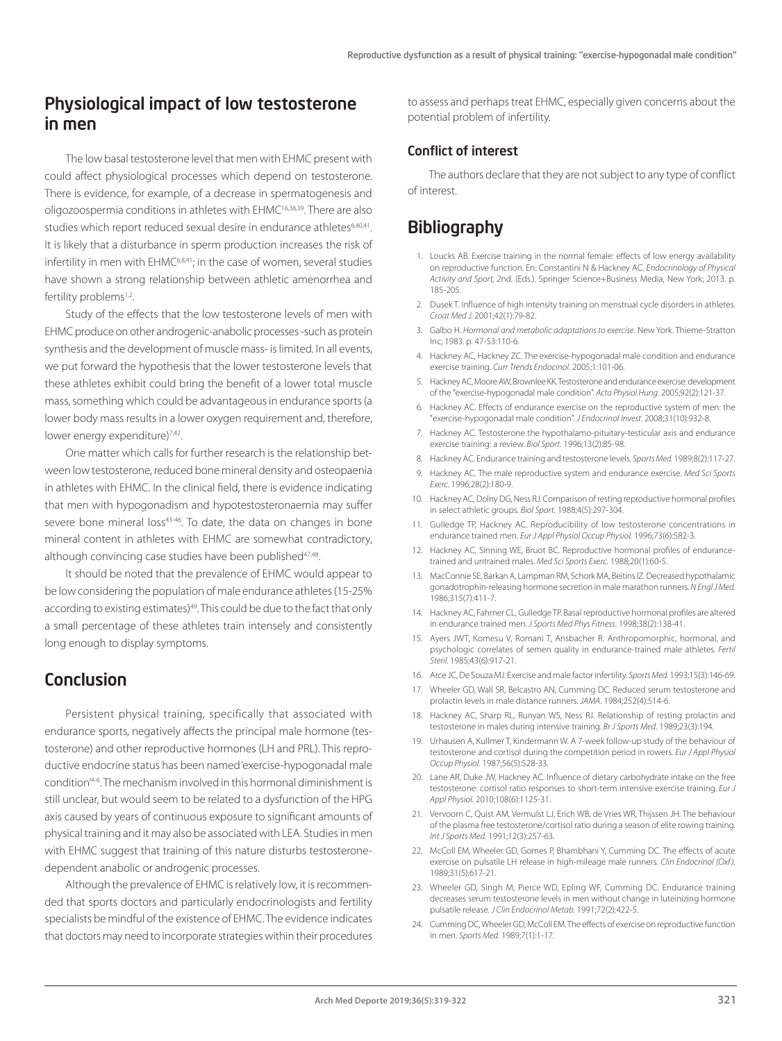## Physiological impact of low testosterone in men

The low basal testosterone level that men with EHMC present with could affect physiological processes which depend on testosterone. There is evidence, for example, of a decrease in spermatogenesis and oligozoospermia conditions in athletes with EHMC16,38,39. There are also studies which report reduced sexual desire in endurance athletes<sup>6,40,41</sup>. It is likely that a disturbance in sperm production increases the risk of infertility in men with EHMC6,8,41; in the case of women, several studies have shown a strong relationship between athletic amenorrhea and fertility problems<sup>1,2</sup>.

Study of the effects that the low testosterone levels of men with EHMC produce on other androgenic-anabolic processes -such as protein synthesis and the development of muscle mass- is limited. In all events, we put forward the hypothesis that the lower testosterone levels that these athletes exhibit could bring the benefit of a lower total muscle mass, something which could be advantageous in endurance sports (a lower body mass results in a lower oxygen requirement and, therefore, lower energy expenditure)<sup>7,42</sup>.

One matter which calls for further research is the relationship between low testosterone, reduced bone mineral density and osteopaenia in athletes with EHMC. In the clinical field, there is evidence indicating that men with hypogonadism and hypotestosteronaemia may suffer severe bone mineral loss<sup>43-46</sup>. To date, the data on changes in bone mineral content in athletes with EHMC are somewhat contradictory, although convincing case studies have been published<sup>47,48</sup>.

It should be noted that the prevalence of EHMC would appear to be low considering the population of male endurance athletes (15-25% according to existing estimates)<sup>49</sup>. This could be due to the fact that only a small percentage of these athletes train intensely and consistently long enough to display symptoms.

## Conclusion

Persistent physical training, specifically that associated with endurance sports, negatively affects the principal male hormone (testosterone) and other reproductive hormones (LH and PRL). This reproductive endocrine status has been named 'exercise-hypogonadal male condition'4-6. The mechanism involved in this hormonal diminishment is still unclear, but would seem to be related to a dysfunction of the HPG axis caused by years of continuous exposure to significant amounts of physical training and it may also be associated with LEA. Studies in men with EHMC suggest that training of this nature disturbs testosteronedependent anabolic or androgenic processes.

Although the prevalence of EHMC is relatively low, it is recommended that sports doctors and particularly endocrinologists and fertility specialists be mindful of the existence of EHMC. The evidence indicates that doctors may need to incorporate strategies within their procedures

to assess and perhaps treat EHMC, especially given concerns about the potential problem of infertility.

#### Conflict of interest

The authors declare that they are not subject to any type of conflict of interest.

## **Bibliography**

- 1. Loucks AB. Exercise training in the normal female: effects of low energy availability on reproductive function. En: Constantini N & Hackney AC. *Endocrinology of Physical Activity and Sport,* 2nd. (Eds.). Springer Science+Business Media, New York; 2013. p. 185-205.
- 2. Dusek T. Influence of high intensity training on menstrual cycle disorders in athletes. *Croat Med J.* 2001;42(1):79-82.
- 3. Galbo H. *Hormonal and metabolic adaptations to exercise*. New York. Thieme-Stratton Inc; 1983. p. 47-53:110-6.
- 4. Hackney AC, Hackney ZC. The exercise-hypogonadal male condition and endurance exercise training. *Curr Trends Endocinol.* 2005;1:101-06.
- 5. Hackney AC, Moore AW, Brownlee KK. Testosterone and endurance exercise: development of the "exercise-hypogonadal male condition". *Acta Physiol Hung*. 2005;92(2):121-37.
- 6. Hackney AC. Effects of endurance exercise on the reproductive system of men: the "exercise-hypogonadal male condition". *J Endocrinol Invest*. 2008;31(10):932-8.
- 7. Hackney AC. Testosterone the hypothalamo-pituitary-testicular axis and endurance exercise training: a review. *Biol Sport.* 1996;13(2):85-98.
- 8. Hackney AC. Endurance training and testosterone levels. *Sports Med.* 1989;8(2):117-27.
- 9. Hackney AC. The male reproductive system and endurance exercise. *Med Sci Sports Exerc.* 1996;28(2):180-9.
- 10. Hackney AC, Dolny DG, Ness RJ. Comparison of resting reproductive hormonal profiles in select athletic groups. *Biol Sport*. 1988;4(5):297-304.
- 11. Gulledge TP, Hackney AC. Reproducibility of low testosterone concentrations in endurance trained men. *Eur J Appl Physiol Occup Physiol.* 1996;73(6):582-3.
- 12. Hackney AC, Sinning WE, Bruot BC. Reproductive hormonal profiles of endurancetrained and untrained males. *Med Sci Sports Exerc.* 1988;20(1):60-5.
- 13. MacConnie SE, Barkan A, Lampman RM, Schork MA, Beitins IZ. Decreased hypothalamic gonadotrophin-releasing hormone secretion in male marathon runners. *N Engl J Med.*  1986;315(7):411-7.
- 14. Hackney AC, Fahrner CL, Gulledge TP. Basal reproductive hormonal profiles are altered in endurance trained men. *J Sports Med Phys Fitness*. 1998;38(2):138-41.
- 15. Ayers JWT, Komesu V, Romani T, Ansbacher R. Anthropomorphic, hormonal, and psychologic correlates of semen quality in endurance-trained male athletes. *Fertil Steril.* 1985;43(6):917-21.
- 16. Arce JC, De Souza MJ. Exercise and male factor infertility. *Sports Med.* 1993;15(3):146-69.
- 17. Wheeler GD, Wall SR, Belcastro AN, Cumming DC. Reduced serum testosterone and prolactin levels in male distance runners. *JAMA*. 1984;252(4):514-6.
- 18. Hackney AC, Sharp RL, Runyan WS, Ness RJ. Relationship of resting prolactin and testosterone in males during intensive training. *Br J Sports Med*. 1989;23(3):194.
- 19. Urhausen A, Kullmer T, Kindermann W. A 7-week follow-up study of the behaviour of testosterone and cortisol during the competition period in rowers. *Eur J Appl Physiol Occup Physiol.* 1987;56(5):528-33.
- 20. Lane AR, Duke JW, Hackney AC. Influence of dietary carbohydrate intake on the free testosterone: cortisol ratio responses to short-term intensive exercise training. *Eur J Appl Physiol*. 2010;108(6):1125-31.
- 21. Vervoorn C, Quist AM, Vermulst LJ, Erich WB, de Vries WR, Thijssen JH. The behaviour of the plasma free testosterone/cortisol ratio during a season of elite rowing training. *Int J Sports Med*. 1991;12(3):257-63.
- 22. McColl EM, Wheeler GD, Gomes P, Bhambhani Y, Cumming DC. The effects of acute exercise on pulsatile LH release in high-mileage male runners. *Clin Endocrinol (Oxf ).*  1989;31(5):617-21.
- 23. Wheeler GD, Singh M, Pierce WD, Epling WF, Cumming DC. Endurance training decreases serum testosterone levels in men without change in luteinizing hormone pulsatile release*. J Clin Endocrinol Metab.* 1991;72(2):422-5.
- 24. Cumming DC, Wheeler GD, McColl EM. The effects of exercise on reproductive function in men. *Sports Med.* 1989;7(1):1-17.